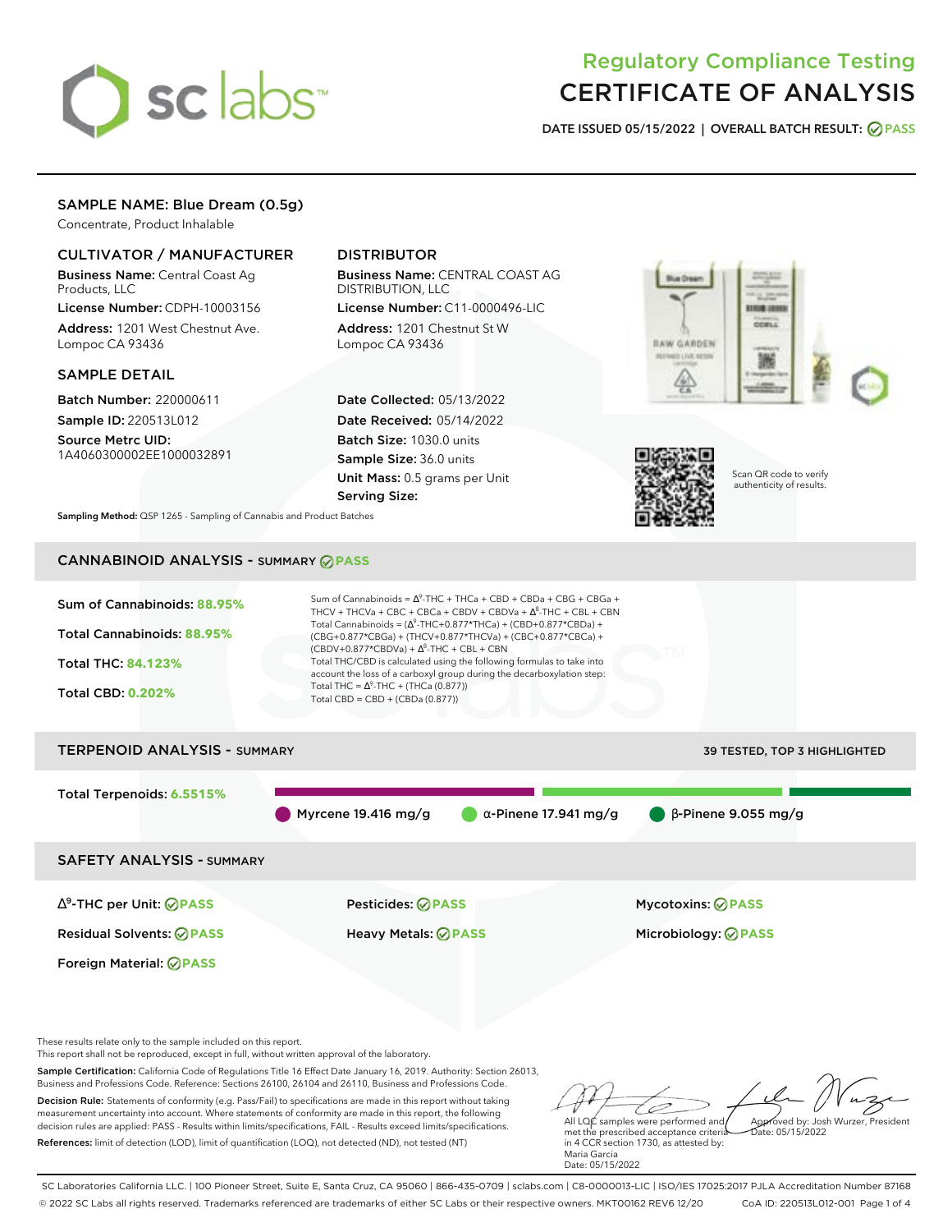# sclabs<sup>\*</sup>

# Regulatory Compliance Testing CERTIFICATE OF ANALYSIS

**DATE ISSUED 05/15/2022 | OVERALL BATCH RESULT: PASS**

### SAMPLE NAME: Blue Dream (0.5g)

Concentrate, Product Inhalable

## CULTIVATOR / MANUFACTURER

Business Name: Central Coast Ag Products, LLC

License Number: CDPH-10003156 Address: 1201 West Chestnut Ave. Lompoc CA 93436

#### SAMPLE DETAIL

Batch Number: 220000611 Sample ID: 220513L012

Source Metrc UID: 1A4060300002EE1000032891

# DISTRIBUTOR

Business Name: CENTRAL COAST AG DISTRIBUTION, LLC License Number: C11-0000496-LIC

Address: 1201 Chestnut St W Lompoc CA 93436

Date Collected: 05/13/2022 Date Received: 05/14/2022 Batch Size: 1030.0 units Sample Size: 36.0 units Unit Mass: 0.5 grams per Unit Serving Size:





Scan QR code to verify authenticity of results.

**Sampling Method:** QSP 1265 - Sampling of Cannabis and Product Batches

# CANNABINOID ANALYSIS - SUMMARY **PASS**



Decision Rule: Statements of conformity (e.g. Pass/Fail) to specifications are made in this report without taking measurement uncertainty into account. Where statements of conformity are made in this report, the following decision rules are applied: PASS - Results within limits/specifications, FAIL - Results exceed limits/specifications. References: limit of detection (LOD), limit of quantification (LOQ), not detected (ND), not tested (NT)

All LQC samples were performed and met the prescribed acceptance criteria in 4 CCR section 1730, as attested by: Maria Garcia Date: 05/15/2022 Approved by: Josh Wurzer, President Date: 05/15/2022

SC Laboratories California LLC. | 100 Pioneer Street, Suite E, Santa Cruz, CA 95060 | 866-435-0709 | sclabs.com | C8-0000013-LIC | ISO/IES 17025:2017 PJLA Accreditation Number 87168 © 2022 SC Labs all rights reserved. Trademarks referenced are trademarks of either SC Labs or their respective owners. MKT00162 REV6 12/20 CoA ID: 220513L012-001 Page 1 of 4